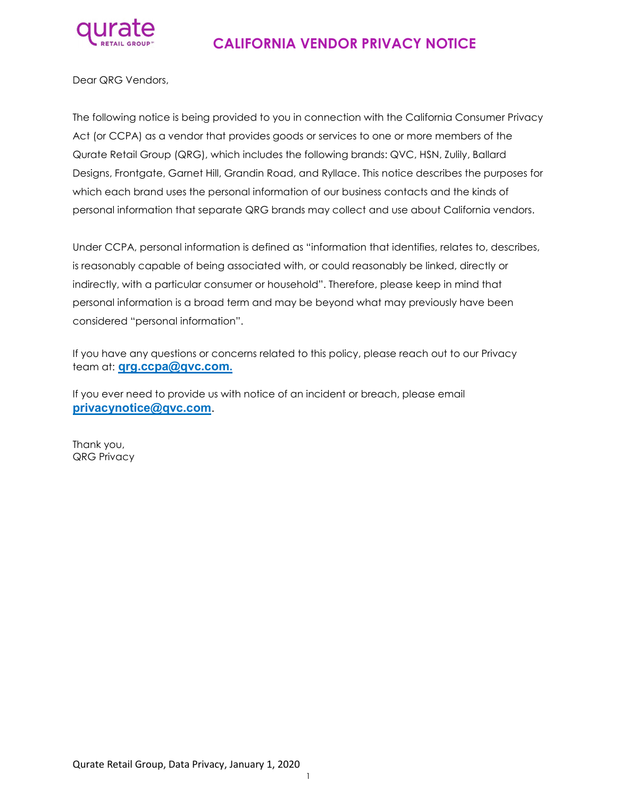

# CALIFORNIA VENDOR PRIVACY NOTICE

Dear QRG Vendors,

The following notice is being provided to you in connection with the California Consumer Privacy Act (or CCPA) as a vendor that provides goods or services to one or more members of the Qurate Retail Group (QRG), which includes the following brands: QVC, HSN, Zulily, Ballard Designs, Frontgate, Garnet Hill, Grandin Road, and Ryllace. This notice describes the purposes for which each brand uses the personal information of our business contacts and the kinds of personal information that separate QRG brands may collect and use about California vendors.

Under CCPA, personal information is defined as "information that identifies, relates to, describes, is reasonably capable of being associated with, or could reasonably be linked, directly or indirectly, with a particular consumer or household". Therefore, please keep in mind that personal information is a broad term and may be beyond what may previously have been considered "personal information".

If you have any questions or concerns related to this policy, please reach out to our Privacy team at: **grg.ccpa@qvc.com.** 

If you ever need to provide us with notice of an incident or breach, please email privacynotice@qvc.com.

Thank you, QRG Privacy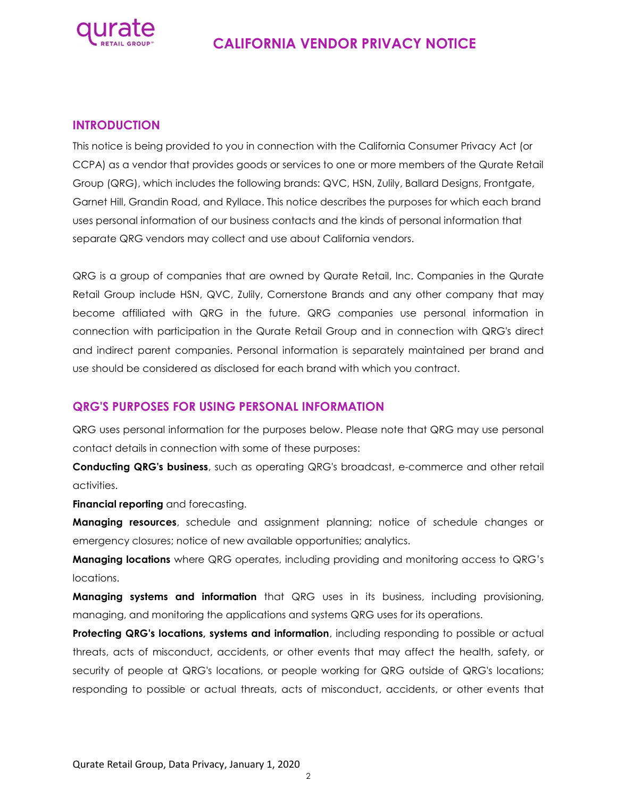

## CALIFORNIA VENDOR PRIVACY NOTICE

#### INTRODUCTION

This notice is being provided to you in connection with the California Consumer Privacy Act (or CCPA) as a vendor that provides goods or services to one or more members of the Qurate Retail Group (QRG), which includes the following brands: QVC, HSN, Zulily, Ballard Designs, Frontgate, Garnet Hill, Grandin Road, and Ryllace. This notice describes the purposes for which each brand uses personal information of our business contacts and the kinds of personal information that separate QRG vendors may collect and use about California vendors.

QRG is a group of companies that are owned by Qurate Retail, Inc. Companies in the Qurate Retail Group include HSN, QVC, Zulily, Cornerstone Brands and any other company that may become affiliated with QRG in the future. QRG companies use personal information in connection with participation in the Qurate Retail Group and in connection with QRG's direct and indirect parent companies. Personal information is separately maintained per brand and use should be considered as disclosed for each brand with which you contract.

### QRG'S PURPOSES FOR USING PERSONAL INFORMATION

QRG uses personal information for the purposes below. Please note that QRG may use personal contact details in connection with some of these purposes:

Conducting QRG's business, such as operating QRG's broadcast, e-commerce and other retail activities.

Financial reporting and forecasting.

**Managing resources**, schedule and assignment planning; notice of schedule changes or emergency closures; notice of new available opportunities; analytics.

**Managing locations** where QRG operates, including providing and monitoring access to QRG's locations.

**Managing systems and information** that QRG uses in its business, including provisioning, managing, and monitoring the applications and systems QRG uses for its operations.

Protecting QRG's locations, systems and information, including responding to possible or actual threats, acts of misconduct, accidents, or other events that may affect the health, safety, or security of people at QRG's locations, or people working for QRG outside of QRG's locations; responding to possible or actual threats, acts of misconduct, accidents, or other events that

 $\mathfrak{D}$